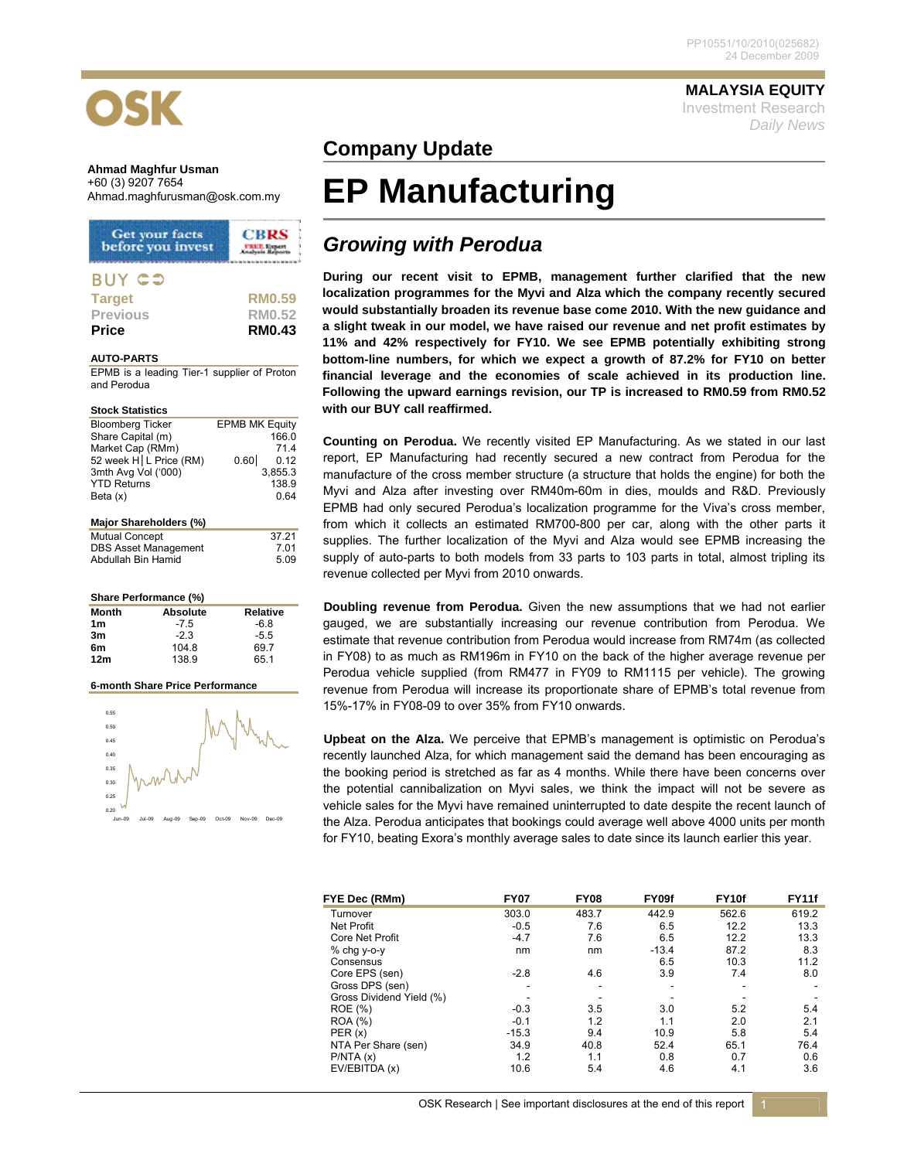

### **Ahmad Maghfur Usman**  +60 (3) 9207 7654

| <b>Get your facts</b><br>before you invest | <b>CBRS</b>   |
|--------------------------------------------|---------------|
| <b>BUY CO</b>                              |               |
| <b>Target</b>                              | <b>RM0.59</b> |
| <b>Previous</b>                            | <b>RM0.52</b> |
| <b>Price</b>                               | <b>RM0.43</b> |

### **AUTO-PARTS**

EPMB is a leading Tier-1 supplier of Proton and Perodua

| <b>Stock Statistics</b>  |                       |
|--------------------------|-----------------------|
| <b>Bloomberg Ticker</b>  | <b>EPMB MK Equity</b> |
| Share Capital (m)        | 166.0                 |
| Market Cap (RMm)         | 71.4                  |
| 52 week H   L Price (RM) | 0.60<br>0.12          |
| 3mth Avg Vol ('000)      | 3.855.3               |
| <b>YTD Returns</b>       | 138.9                 |
| Beta $(x)$               | 0.64                  |
| Major Shareholders (%)   |                       |
| $M1$ $H2$ $C2$ $C2$      | 27.21                 |

| <b>Mutual Concept</b>       | 37.21 |
|-----------------------------|-------|
| <b>DBS Asset Management</b> | 7.01  |
| Abdullah Bin Hamid          | 5.09  |

| Share Performance (%) |                 |                 |  |  |
|-----------------------|-----------------|-----------------|--|--|
| Month                 | <b>Absolute</b> | <b>Relative</b> |  |  |
| 1 <sub>m</sub>        | $-7.5$          | $-6.8$          |  |  |
| 3m                    | $-2.3$          | $-5.5$          |  |  |
| 6m                    | 104.8           | 69.7            |  |  |
| 12 <sub>m</sub>       | 138.9           | 65.1            |  |  |

#### **6-month Share Price Performance**



**MALAYSIA EQUITY** Investment Research *Daily News*

## **Company Update**

# **EP Manufacturing**

## *Growing with Perodua*

**During our recent visit to EPMB, management further clarified that the new localization programmes for the Myvi and Alza which the company recently secured would substantially broaden its revenue base come 2010. With the new guidance and a slight tweak in our model, we have raised our revenue and net profit estimates by 11% and 42% respectively for FY10. We see EPMB potentially exhibiting strong bottom-line numbers, for which we expect a growth of 87.2% for FY10 on better financial leverage and the economies of scale achieved in its production line. Following the upward earnings revision, our TP is increased to RM0.59 from RM0.52 with our BUY call reaffirmed.** 

**Counting on Perodua.** We recently visited EP Manufacturing. As we stated in our last report, EP Manufacturing had recently secured a new contract from Perodua for the manufacture of the cross member structure (a structure that holds the engine) for both the Myvi and Alza after investing over RM40m-60m in dies, moulds and R&D. Previously EPMB had only secured Perodua's localization programme for the Viva's cross member, from which it collects an estimated RM700-800 per car, along with the other parts it supplies. The further localization of the Myvi and Alza would see EPMB increasing the supply of auto-parts to both models from 33 parts to 103 parts in total, almost tripling its revenue collected per Myvi from 2010 onwards.

**Doubling revenue from Perodua.** Given the new assumptions that we had not earlier gauged, we are substantially increasing our revenue contribution from Perodua. We estimate that revenue contribution from Perodua would increase from RM74m (as collected in FY08) to as much as RM196m in FY10 on the back of the higher average revenue per Perodua vehicle supplied (from RM477 in FY09 to RM1115 per vehicle). The growing revenue from Perodua will increase its proportionate share of EPMB's total revenue from 15%-17% in FY08-09 to over 35% from FY10 onwards.

**Upbeat on the Alza.** We perceive that EPMB's management is optimistic on Perodua's recently launched Alza, for which management said the demand has been encouraging as the booking period is stretched as far as 4 months. While there have been concerns over the potential cannibalization on Myvi sales, we think the impact will not be severe as vehicle sales for the Myvi have remained uninterrupted to date despite the recent launch of the Alza. Perodua anticipates that bookings could average well above 4000 units per month for FY10, beating Exora's monthly average sales to date since its launch earlier this year.

| FYE Dec (RMm)            | <b>FY07</b> | <b>FY08</b> | FY09f   | FY <sub>10f</sub> | <b>FY11f</b> |
|--------------------------|-------------|-------------|---------|-------------------|--------------|
| Turnover                 | 303.0       | 483.7       | 442.9   | 562.6             | 619.2        |
| <b>Net Profit</b>        | $-0.5$      | 7.6         | 6.5     | 12.2              | 13.3         |
| <b>Core Net Profit</b>   | $-4.7$      | 7.6         | 6.5     | 12.2              | 13.3         |
| % chg y-o-y              | nm          | nm          | $-13.4$ | 87.2              | 8.3          |
| Consensus                |             |             | 6.5     | 10.3              | 11.2         |
| Core EPS (sen)           | $-2.8$      | 4.6         | 3.9     | 7.4               | 8.0          |
| Gross DPS (sen)          |             | ۰           | ۰       |                   |              |
| Gross Dividend Yield (%) |             |             |         |                   |              |
| ROE (%)                  | $-0.3$      | 3.5         | 3.0     | 5.2               | 5.4          |
| <b>ROA</b> (%)           | $-0.1$      | 1.2         | 1.1     | 2.0               | 2.1          |
| PER(x)                   | $-15.3$     | 9.4         | 10.9    | 5.8               | 5.4          |
| NTA Per Share (sen)      | 34.9        | 40.8        | 52.4    | 65.1              | 76.4         |
| P/NTA(x)                 | 1.2         | 1.1         | 0.8     | 0.7               | 0.6          |
| EV/EBITDA (x)            | 10.6        | 5.4         | 4.6     | 4.1               | 3.6          |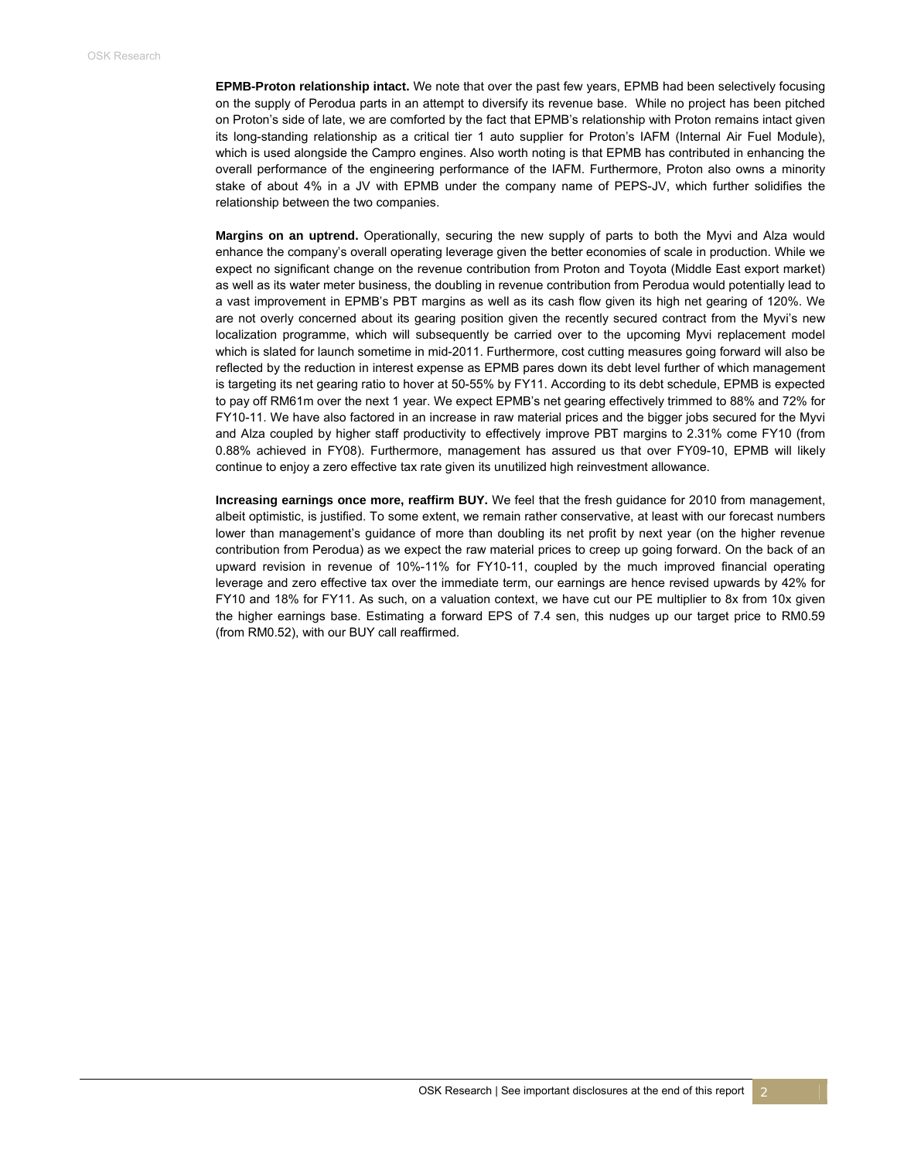**EPMB-Proton relationship intact.** We note that over the past few years, EPMB had been selectively focusing on the supply of Perodua parts in an attempt to diversify its revenue base. While no project has been pitched on Proton's side of late, we are comforted by the fact that EPMB's relationship with Proton remains intact given its long-standing relationship as a critical tier 1 auto supplier for Proton's IAFM (Internal Air Fuel Module), which is used alongside the Campro engines. Also worth noting is that EPMB has contributed in enhancing the overall performance of the engineering performance of the IAFM. Furthermore, Proton also owns a minority stake of about 4% in a JV with EPMB under the company name of PEPS-JV, which further solidifies the relationship between the two companies.

**Margins on an uptrend.** Operationally, securing the new supply of parts to both the Myvi and Alza would enhance the company's overall operating leverage given the better economies of scale in production. While we expect no significant change on the revenue contribution from Proton and Toyota (Middle East export market) as well as its water meter business, the doubling in revenue contribution from Perodua would potentially lead to a vast improvement in EPMB's PBT margins as well as its cash flow given its high net gearing of 120%. We are not overly concerned about its gearing position given the recently secured contract from the Myvi's new localization programme, which will subsequently be carried over to the upcoming Myvi replacement model which is slated for launch sometime in mid-2011. Furthermore, cost cutting measures going forward will also be reflected by the reduction in interest expense as EPMB pares down its debt level further of which management is targeting its net gearing ratio to hover at 50-55% by FY11. According to its debt schedule, EPMB is expected to pay off RM61m over the next 1 year. We expect EPMB's net gearing effectively trimmed to 88% and 72% for FY10-11. We have also factored in an increase in raw material prices and the bigger jobs secured for the Myvi and Alza coupled by higher staff productivity to effectively improve PBT margins to 2.31% come FY10 (from 0.88% achieved in FY08). Furthermore, management has assured us that over FY09-10, EPMB will likely continue to enjoy a zero effective tax rate given its unutilized high reinvestment allowance.

**Increasing earnings once more, reaffirm BUY.** We feel that the fresh guidance for 2010 from management, albeit optimistic, is justified. To some extent, we remain rather conservative, at least with our forecast numbers lower than management's guidance of more than doubling its net profit by next year (on the higher revenue contribution from Perodua) as we expect the raw material prices to creep up going forward. On the back of an upward revision in revenue of 10%-11% for FY10-11, coupled by the much improved financial operating leverage and zero effective tax over the immediate term, our earnings are hence revised upwards by 42% for FY10 and 18% for FY11. As such, on a valuation context, we have cut our PE multiplier to 8x from 10x given the higher earnings base. Estimating a forward EPS of 7.4 sen, this nudges up our target price to RM0.59 (from RM0.52), with our BUY call reaffirmed.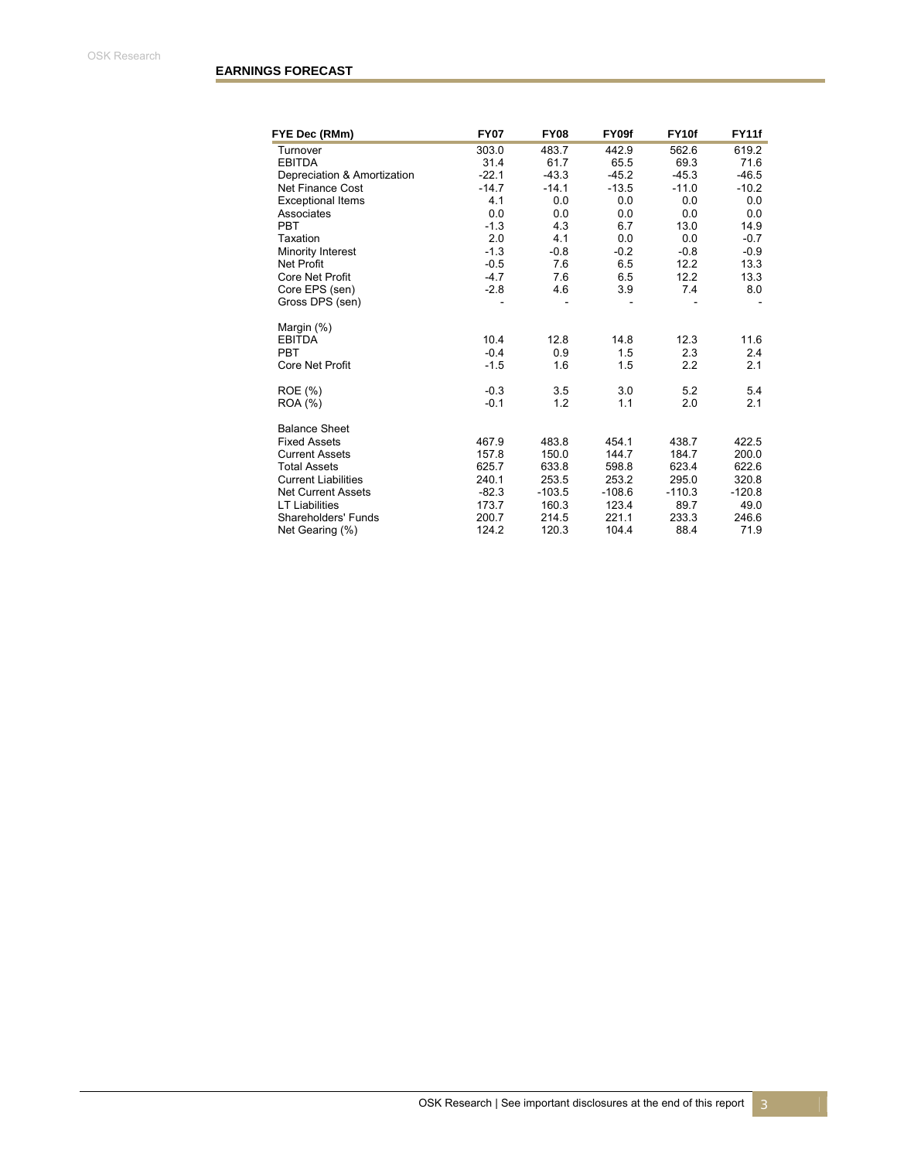| FYE Dec (RMm)               | <b>FY07</b> | <b>FY08</b> | FY09f    | FY10f    | <b>FY11f</b> |
|-----------------------------|-------------|-------------|----------|----------|--------------|
| Turnover                    | 303.0       | 483.7       | 442.9    | 562.6    | 619.2        |
| <b>EBITDA</b>               | 31.4        | 61.7        | 65.5     | 69.3     | 71.6         |
| Depreciation & Amortization | $-22.1$     | $-43.3$     | $-45.2$  | $-45.3$  | $-46.5$      |
| Net Finance Cost            | $-14.7$     | $-14.1$     | $-13.5$  | $-11.0$  | $-10.2$      |
| <b>Exceptional Items</b>    | 4.1         | 0.0         | 0.0      | 0.0      | 0.0          |
| Associates                  | 0.0         | 0.0         | 0.0      | 0.0      | 0.0          |
| <b>PBT</b>                  | $-1.3$      | 4.3         | 6.7      | 13.0     | 14.9         |
| Taxation                    | 2.0         | 4.1         | 0.0      | 0.0      | $-0.7$       |
| Minority Interest           | $-1.3$      | $-0.8$      | $-0.2$   | $-0.8$   | $-0.9$       |
| <b>Net Profit</b>           | $-0.5$      | 7.6         | 6.5      | 12.2     | 13.3         |
| <b>Core Net Profit</b>      | $-4.7$      | 7.6         | 6.5      | 12.2     | 13.3         |
| Core EPS (sen)              | $-2.8$      | 4.6         | 3.9      | 7.4      | 8.0          |
| Gross DPS (sen)             |             |             |          |          |              |
| Margin (%)                  |             |             |          |          |              |
| <b>EBITDA</b>               | 10.4        | 12.8        | 14.8     | 12.3     | 11.6         |
| <b>PBT</b>                  | $-0.4$      | 0.9         | 1.5      | 2.3      | 2.4          |
| Core Net Profit             | $-1.5$      | 1.6         | 1.5      | 2.2      | 2.1          |
| ROE (%)                     | $-0.3$      | 3.5         | 3.0      | 5.2      | 5.4          |
| <b>ROA</b> (%)              | $-0.1$      | 1.2         | 1.1      | 2.0      | 2.1          |
| <b>Balance Sheet</b>        |             |             |          |          |              |
| <b>Fixed Assets</b>         | 467.9       | 483.8       | 454.1    | 438.7    | 422.5        |
| <b>Current Assets</b>       | 157.8       | 150.0       | 144.7    | 184.7    | 200.0        |
| <b>Total Assets</b>         | 625.7       | 633.8       | 598.8    | 623.4    | 622.6        |
| <b>Current Liabilities</b>  | 240.1       | 253.5       | 253.2    | 295.0    | 320.8        |
| <b>Net Current Assets</b>   | $-82.3$     | $-103.5$    | $-108.6$ | $-110.3$ | $-120.8$     |
| <b>LT Liabilities</b>       | 173.7       | 160.3       | 123.4    | 89.7     | 49.0         |
| Shareholders' Funds         | 200.7       | 214.5       | 221.1    | 233.3    | 246.6        |
| Net Gearing (%)             | 124.2       | 120.3       | 104.4    | 88.4     | 71.9         |